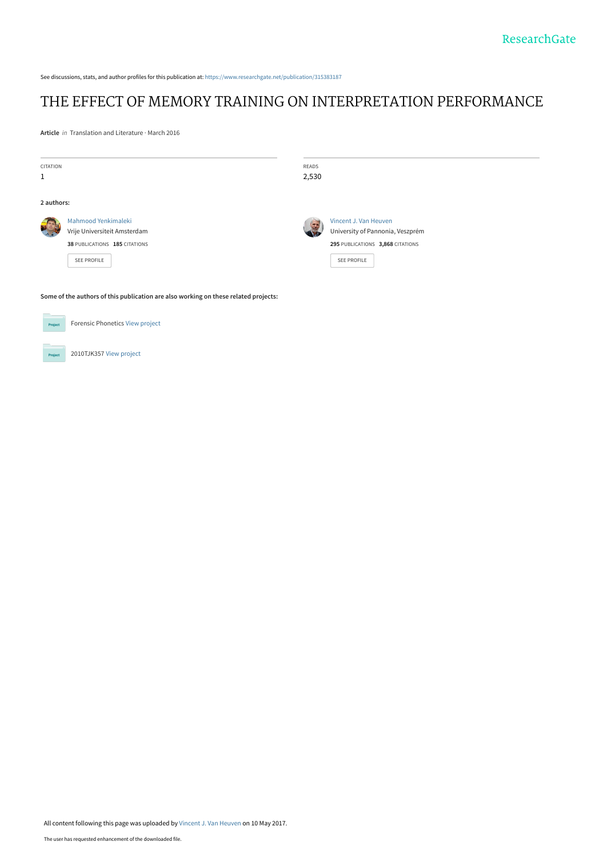See discussions, stats, and author profiles for this publication at: [https://www.researchgate.net/publication/315383187](https://www.researchgate.net/publication/315383187_THE_EFFECT_OF_MEMORY_TRAINING_ON_INTERPRETATION_PERFORMANCE?enrichId=rgreq-f047417754726cda5949b616b4358840-XXX&enrichSource=Y292ZXJQYWdlOzMxNTM4MzE4NztBUzo0OTIzOTM2OTI0OTE3NzdAMTQ5NDQwNzIxMjU1NA%3D%3D&el=1_x_2&_esc=publicationCoverPdf)

# [THE EFFECT OF MEMORY TRAINING ON INTERPRETATION PERFORMANCE](https://www.researchgate.net/publication/315383187_THE_EFFECT_OF_MEMORY_TRAINING_ON_INTERPRETATION_PERFORMANCE?enrichId=rgreq-f047417754726cda5949b616b4358840-XXX&enrichSource=Y292ZXJQYWdlOzMxNTM4MzE4NztBUzo0OTIzOTM2OTI0OTE3NzdAMTQ5NDQwNzIxMjU1NA%3D%3D&el=1_x_3&_esc=publicationCoverPdf)

**Article** in Translation and Literature · March 2016

| <b>CITATION</b><br>$\mathbf{1}$                                                     |                                                                                                            | READS<br>2,530 |                                                                                                              |
|-------------------------------------------------------------------------------------|------------------------------------------------------------------------------------------------------------|----------------|--------------------------------------------------------------------------------------------------------------|
| 2 authors:                                                                          |                                                                                                            |                |                                                                                                              |
|                                                                                     | Mahmood Yenkimaleki<br>Vrije Universiteit Amsterdam<br>38 PUBLICATIONS 185 CITATIONS<br><b>SEE PROFILE</b> | S.             | Vincent J. Van Heuven<br>University of Pannonia, Veszprém<br>295 PUBLICATIONS 3,868 CITATIONS<br>SEE PROFILE |
| Some of the authors of this publication are also working on these related projects: |                                                                                                            |                |                                                                                                              |

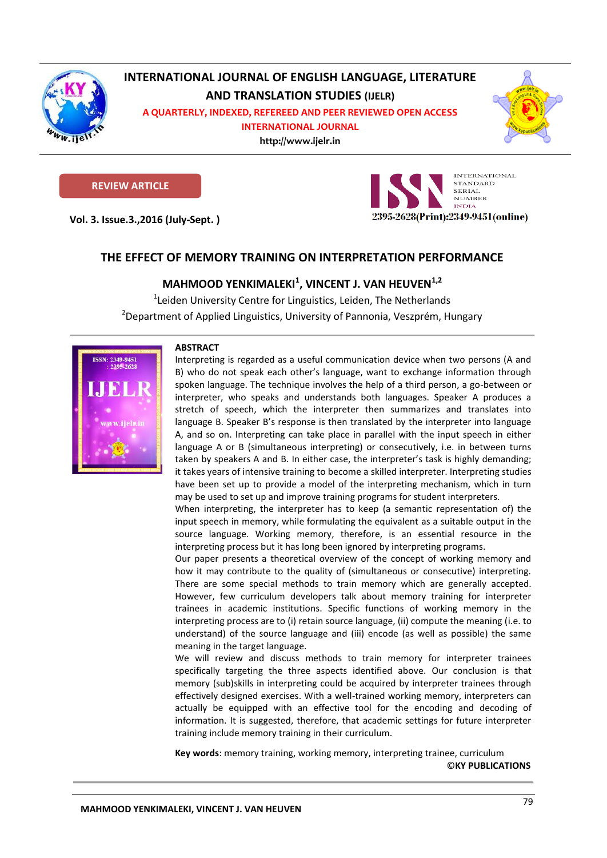

# **INTERNATIONAL JOURNAL OF ENGLISH LANGUAGE, LITERATURE AND TRANSLATION STUDIES (IJELR)**

**A QUARTERLY, INDEXED, REFEREED AND PEER REVIEWED OPEN ACCESS** 

**INTERNATIONAL JOURNAL**

**http://www.ijelr.in KY PUBLICATIONS** 



# **REVIEW ARTICLE**

**Vol. 3. Issue.3.,2016 (July-Sept. ) ARTICLE**



# **THE EFFECT OF MEMORY TRAINING ON INTERPRETATION PERFORMANCE**

# **MAHMOOD YENKIMALEKI<sup>1</sup> , VINCENT J. VAN HEUVEN1,2**

<sup>1</sup>Leiden University Centre for Linguistics, Leiden, The Netherlands <sup>2</sup>Department of Applied Linguistics, University of Pannonia, Veszprém, Hungary



## **ABSTRACT**

Interpreting is regarded as a useful communication device when two persons (A and B) who do not speak each other's language, want to exchange information through spoken language. The technique involves the help of a third person, a go-between or interpreter, who speaks and understands both languages. Speaker A produces a stretch of speech, which the interpreter then summarizes and translates into language B. Speaker B's response is then translated by the interpreter into language A, and so on. Interpreting can take place in parallel with the input speech in either language A or B (simultaneous interpreting) or consecutively, i.e. in between turns taken by speakers A and B. In either case, the interpreter's task is highly demanding; it takes years of intensive training to become a skilled interpreter. Interpreting studies have been set up to provide a model of the interpreting mechanism, which in turn may be used to set up and improve training programs for student interpreters.

When interpreting, the interpreter has to keep (a semantic representation of) the input speech in memory, while formulating the equivalent as a suitable output in the source language. Working memory, therefore, is an essential resource in the interpreting process but it has long been ignored by interpreting programs.

Our paper presents a theoretical overview of the concept of working memory and how it may contribute to the quality of (simultaneous or consecutive) interpreting. There are some special methods to train memory which are generally accepted. However, few curriculum developers talk about memory training for interpreter trainees in academic institutions. Specific functions of working memory in the interpreting process are to (i) retain source language, (ii) compute the meaning (i.e. to understand) of the source language and (iii) encode (as well as possible) the same meaning in the target language.

We will review and discuss methods to train memory for interpreter trainees specifically targeting the three aspects identified above. Our conclusion is that memory (sub)skills in interpreting could be acquired by interpreter trainees through effectively designed exercises. With a well-trained working memory, interpreters can actually be equipped with an effective tool for the encoding and decoding of information. It is suggested, therefore, that academic settings for future interpreter training include memory training in their curriculum.

**Key words**: memory training, working memory, interpreting trainee, curriculum ©**KY PUBLICATIONS**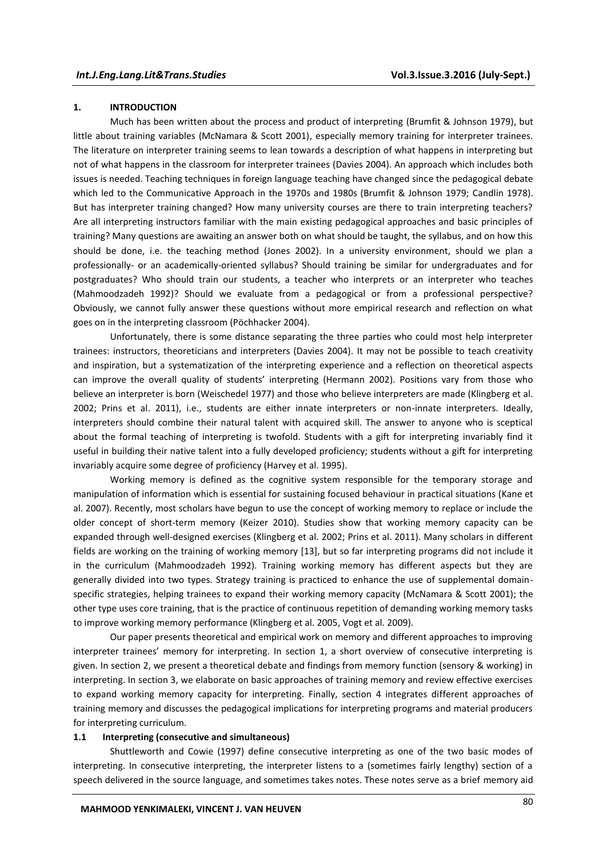### **1. INTRODUCTION**

Much has been written about the process and product of interpreting (Brumfit & Johnson 1979), but little about training variables (McNamara & Scott 2001), especially memory training for interpreter trainees. The literature on interpreter training seems to lean towards a description of what happens in interpreting but not of what happens in the classroom for interpreter trainees (Davies 2004). An approach which includes both issues is needed. Teaching techniques in foreign language teaching have changed since the pedagogical debate which led to the Communicative Approach in the 1970s and 1980s (Brumfit & Johnson 1979; Candlin 1978). But has interpreter training changed? How many university courses are there to train interpreting teachers? Are all interpreting instructors familiar with the main existing pedagogical approaches and basic principles of training? Many questions are awaiting an answer both on what should be taught, the syllabus, and on how this should be done, i.e. the teaching method (Jones 2002). In a university environment, should we plan a professionally- or an academically-oriented syllabus? Should training be similar for undergraduates and for postgraduates? Who should train our students, a teacher who interprets or an interpreter who teaches (Mahmoodzadeh 1992)? Should we evaluate from a pedagogical or from a professional perspective? Obviously, we cannot fully answer these questions without more empirical research and reflection on what goes on in the interpreting classroom (Pöchhacker 2004).

Unfortunately, there is some distance separating the three parties who could most help interpreter trainees: instructors, theoreticians and interpreters (Davies 2004). It may not be possible to teach creativity and inspiration, but a systematization of the interpreting experience and a reflection on theoretical aspects can improve the overall quality of students' interpreting (Hermann 2002). Positions vary from those who believe an interpreter is born (Weischedel 1977) and those who believe interpreters are made (Klingberg et al. 2002; Prins et al. 2011), i.e., students are either innate interpreters or non-innate interpreters. Ideally, interpreters should combine their natural talent with acquired skill. The answer to anyone who is sceptical about the formal teaching of interpreting is twofold. Students with a gift for interpreting invariably find it useful in building their native talent into a fully developed proficiency; students without a gift for interpreting invariably acquire some degree of proficiency (Harvey et al. 1995).

Working memory is defined as the cognitive system responsible for the temporary storage and manipulation of information which is essential for sustaining focused behaviour in practical situations (Kane et al. 2007). Recently, most scholars have begun to use the concept of working memory to replace or include the older concept of short-term memory (Keizer 2010). Studies show that working memory capacity can be expanded through well-designed exercises (Klingberg et al. 2002; Prins et al. 2011). Many scholars in different fields are working on the training of working memory [13], but so far interpreting programs did not include it in the curriculum (Mahmoodzadeh 1992). Training working memory has different aspects but they are generally divided into two types. Strategy training is practiced to enhance the use of supplemental domainspecific strategies, helping trainees to expand their working memory capacity (McNamara & Scott 2001); the other type uses core training, that is the practice of continuous repetition of demanding working memory tasks to improve working memory performance (Klingberg et al. 2005, Vogt et al. 2009).

Our paper presents theoretical and empirical work on memory and different approaches to improving interpreter trainees' memory for interpreting. In section 1, a short overview of consecutive interpreting is given. In section 2, we present a theoretical debate and findings from memory function (sensory & working) in interpreting. In section 3, we elaborate on basic approaches of training memory and review effective exercises to expand working memory capacity for interpreting. Finally, section 4 integrates different approaches of training memory and discusses the pedagogical implications for interpreting programs and material producers for interpreting curriculum.

#### **1.1 Interpreting (consecutive and simultaneous)**

Shuttleworth and Cowie (1997) define consecutive interpreting as one of the two basic modes of interpreting. In consecutive interpreting, the interpreter listens to a (sometimes fairly lengthy) section of a speech delivered in the source language, and sometimes takes notes. These notes serve as a brief memory aid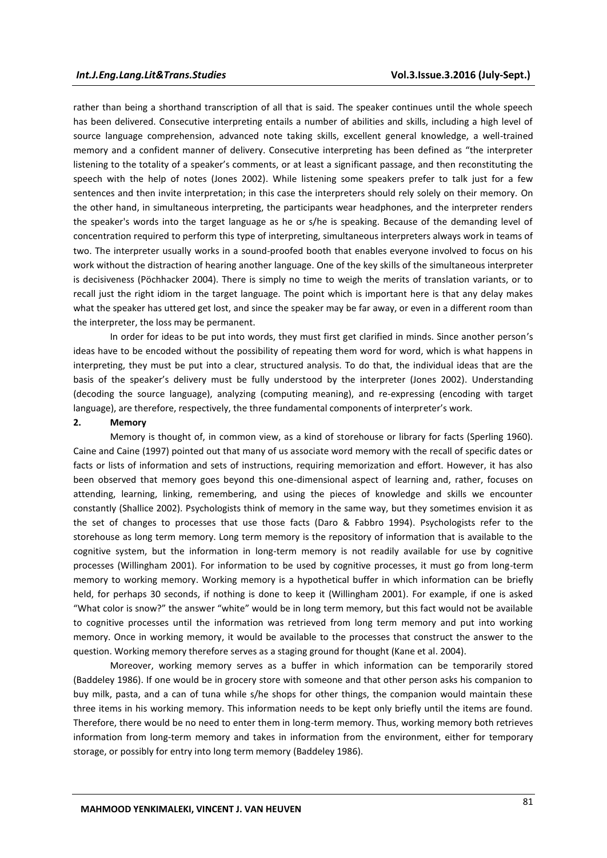rather than being a shorthand transcription of all that is said. The speaker continues until the whole speech has been delivered. Consecutive interpreting entails a number of abilities and skills, including a high level of source language comprehension, advanced note taking skills, excellent general knowledge, a well-trained memory and a confident manner of delivery. Consecutive interpreting has been defined as "the interpreter listening to the totality of a speaker's comments, or at least a significant passage, and then reconstituting the speech with the help of notes (Jones 2002). While listening some speakers prefer to talk just for a few sentences and then invite interpretation; in this case the interpreters should rely solely on their memory. On the other hand, in simultaneous interpreting, the participants wear headphones, and the interpreter renders the speaker's words into the target language as he or s/he is speaking. Because of the demanding level of concentration required to perform this type of interpreting, simultaneous interpreters always work in teams of two. The interpreter usually works in a sound-proofed booth that enables everyone involved to focus on his work without the distraction of hearing another language. One of the key skills of the simultaneous interpreter is decisiveness (Pöchhacker 2004). There is simply no time to weigh the merits of translation variants, or to recall just the right idiom in the target language. The point which is important here is that any delay makes what the speaker has uttered get lost, and since the speaker may be far away, or even in a different room than the interpreter, the loss may be permanent.

In order for ideas to be put into words, they must first get clarified in minds. Since another person's ideas have to be encoded without the possibility of repeating them word for word, which is what happens in interpreting, they must be put into a clear, structured analysis. To do that, the individual ideas that are the basis of the speaker's delivery must be fully understood by the interpreter (Jones 2002). Understanding (decoding the source language), analyzing (computing meaning), and re-expressing (encoding with target language), are therefore, respectively, the three fundamental components of interpreter's work.

#### **2. Memory**

Memory is thought of, in common view, as a kind of storehouse or library for facts (Sperling 1960). Caine and Caine (1997) pointed out that many of us associate word memory with the recall of specific dates or facts or lists of information and sets of instructions, requiring memorization and effort. However, it has also been observed that memory goes beyond this one-dimensional aspect of learning and, rather, focuses on attending, learning, linking, remembering, and using the pieces of knowledge and skills we encounter constantly (Shallice 2002). Psychologists think of memory in the same way, but they sometimes envision it as the set of changes to processes that use those facts (Daro & Fabbro 1994). Psychologists refer to the storehouse as long term memory. Long term memory is the repository of information that is available to the cognitive system, but the information in long-term memory is not readily available for use by cognitive processes (Willingham 2001). For information to be used by cognitive processes, it must go from long-term memory to working memory. Working memory is a hypothetical buffer in which information can be briefly held, for perhaps 30 seconds, if nothing is done to keep it (Willingham 2001). For example, if one is asked "What color is snow?" the answer "white" would be in long term memory, but this fact would not be available to cognitive processes until the information was retrieved from long term memory and put into working memory. Once in working memory, it would be available to the processes that construct the answer to the question. Working memory therefore serves as a staging ground for thought (Kane et al. 2004).

Moreover, working memory serves as a buffer in which information can be temporarily stored (Baddeley 1986). If one would be in grocery store with someone and that other person asks his companion to buy milk, pasta, and a can of tuna while s/he shops for other things, the companion would maintain these three items in his working memory. This information needs to be kept only briefly until the items are found. Therefore, there would be no need to enter them in long-term memory. Thus, working memory both retrieves information from long-term memory and takes in information from the environment, either for temporary storage, or possibly for entry into long term memory (Baddeley 1986).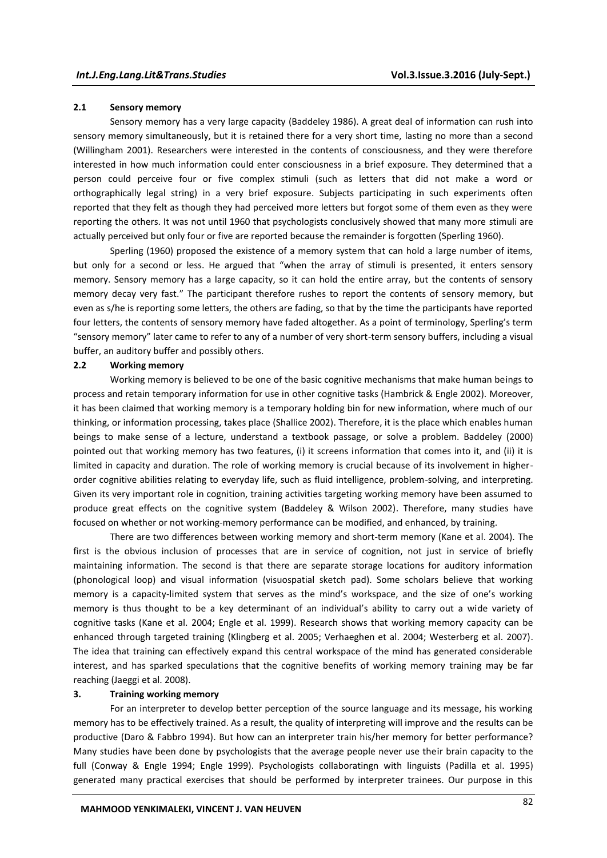### **2.1 Sensory memory**

Sensory memory has a very large capacity (Baddeley 1986). A great deal of information can rush into sensory memory simultaneously, but it is retained there for a very short time, lasting no more than a second (Willingham 2001). Researchers were interested in the contents of consciousness, and they were therefore interested in how much information could enter consciousness in a brief exposure. They determined that a person could perceive four or five complex stimuli (such as letters that did not make a word or orthographically legal string) in a very brief exposure. Subjects participating in such experiments often reported that they felt as though they had perceived more letters but forgot some of them even as they were reporting the others. It was not until 1960 that psychologists conclusively showed that many more stimuli are actually perceived but only four or five are reported because the remainder is forgotten (Sperling 1960).

Sperling (1960) proposed the existence of a memory system that can hold a large number of items, but only for a second or less. He argued that "when the array of stimuli is presented, it enters sensory memory. Sensory memory has a large capacity, so it can hold the entire array, but the contents of sensory memory decay very fast." The participant therefore rushes to report the contents of sensory memory, but even as s/he is reporting some letters, the others are fading, so that by the time the participants have reported four letters, the contents of sensory memory have faded altogether. As a point of terminology, Sperling's term "sensory memory" later came to refer to any of a number of very short-term sensory buffers, including a visual buffer, an auditory buffer and possibly others.

#### **2.2 Working memory**

Working memory is believed to be one of the basic cognitive mechanisms that make human beings to process and retain temporary information for use in other cognitive tasks (Hambrick & Engle 2002). Moreover, it has been claimed that working memory is a temporary holding bin for new information, where much of our thinking, or information processing, takes place (Shallice 2002). Therefore, it is the place which enables human beings to make sense of a lecture, understand a textbook passage, or solve a problem. Baddeley (2000) pointed out that working memory has two features, (i) it screens information that comes into it, and (ii) it is limited in capacity and duration. The role of working memory is crucial because of its involvement in higherorder cognitive abilities relating to everyday life, such as fluid intelligence, problem-solving, and interpreting. Given its very important role in cognition, training activities targeting working memory have been assumed to produce great effects on the cognitive system (Baddeley & Wilson 2002). Therefore, many studies have focused on whether or not working-memory performance can be modified, and enhanced, by training.

There are two differences between working memory and short-term memory (Kane et al. 2004). The first is the obvious inclusion of processes that are in service of cognition, not just in service of briefly maintaining information. The second is that there are separate storage locations for auditory information (phonological loop) and visual information (visuospatial sketch pad). Some scholars believe that working memory is a capacity-limited system that serves as the mind's workspace, and the size of one's working memory is thus thought to be a key determinant of an individual's ability to carry out a wide variety of cognitive tasks (Kane et al. 2004; Engle et al. 1999). Research shows that working memory capacity can be enhanced through targeted training (Klingberg et al. 2005; Verhaeghen et al. 2004; Westerberg et al. 2007). The idea that training can effectively expand this central workspace of the mind has generated considerable interest, and has sparked speculations that the cognitive benefits of working memory training may be far reaching (Jaeggi et al. 2008).

#### **3. Training working memory**

For an interpreter to develop better perception of the source language and its message, his working memory has to be effectively trained. As a result, the quality of interpreting will improve and the results can be productive (Daro & Fabbro 1994). But how can an interpreter train his/her memory for better performance? Many studies have been done by psychologists that the average people never use their brain capacity to the full (Conway & Engle 1994; Engle 1999). Psychologists collaboratingn with linguists (Padilla et al. 1995) generated many practical exercises that should be performed by interpreter trainees. Our purpose in this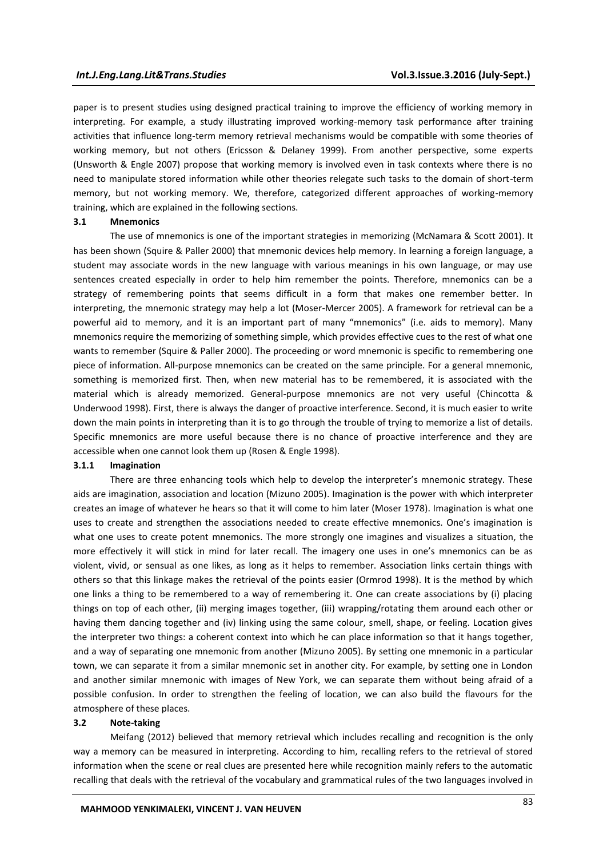paper is to present studies using designed practical training to improve the efficiency of working memory in interpreting. For example, a study illustrating improved working-memory task performance after training activities that influence long-term memory retrieval mechanisms would be compatible with some theories of working memory, but not others (Ericsson & Delaney 1999). From another perspective, some experts (Unsworth & Engle 2007) propose that working memory is involved even in task contexts where there is no need to manipulate stored information while other theories relegate such tasks to the domain of short-term memory, but not working memory. We, therefore, categorized different approaches of working-memory training, which are explained in the following sections.

### **3.1 Mnemonics**

The use of mnemonics is one of the important strategies in memorizing (McNamara & Scott 2001). It has been shown (Squire & Paller 2000) that mnemonic devices help memory. In learning a foreign language, a student may associate words in the new language with various meanings in his own language, or may use sentences created especially in order to help him remember the points. Therefore, mnemonics can be a strategy of remembering points that seems difficult in a form that makes one remember better. In interpreting, the mnemonic strategy may help a lot (Moser-Mercer 2005). A framework for retrieval can be a powerful aid to memory, and it is an important part of many "mnemonics" (i.e. aids to memory). Many mnemonics require the memorizing of something simple, which provides effective cues to the rest of what one wants to remember (Squire & Paller 2000). The proceeding or word mnemonic is specific to remembering one piece of information. All-purpose mnemonics can be created on the same principle. For a general mnemonic, something is memorized first. Then, when new material has to be remembered, it is associated with the material which is already memorized. General-purpose mnemonics are not very useful (Chincotta & Underwood 1998). First, there is always the danger of proactive interference. Second, it is much easier to write down the main points in interpreting than it is to go through the trouble of trying to memorize a list of details. Specific mnemonics are more useful because there is no chance of proactive interference and they are accessible when one cannot look them up (Rosen & Engle 1998).

## **3.1.1 Imagination**

There are three enhancing tools which help to develop the interpreter's mnemonic strategy. These aids are imagination, association and location (Mizuno 2005). Imagination is the power with which interpreter creates an image of whatever he hears so that it will come to him later (Moser 1978). Imagination is what one uses to create and strengthen the associations needed to create effective mnemonics. One's imagination is what one uses to create potent mnemonics. The more strongly one imagines and visualizes a situation, the more effectively it will stick in mind for later recall. The imagery one uses in one's mnemonics can be as violent, vivid, or sensual as one likes, as long as it helps to remember. Association links certain things with others so that this linkage makes the retrieval of the points easier (Ormrod 1998). It is the method by which one links a thing to be remembered to a way of remembering it. One can create associations by (i) placing things on top of each other, (ii) merging images together, (iii) wrapping/rotating them around each other or having them dancing together and (iv) linking using the same colour, smell, shape, or feeling. Location gives the interpreter two things: a coherent context into which he can place information so that it hangs together, and a way of separating one mnemonic from another (Mizuno 2005). By setting one mnemonic in a particular town, we can separate it from a similar mnemonic set in another city. For example, by setting one in London and another similar mnemonic with images of New York, we can separate them without being afraid of a possible confusion. In order to strengthen the feeling of location, we can also build the flavours for the atmosphere of these places.

#### **3.2 Note-taking**

Meifang (2012) believed that memory retrieval which includes recalling and recognition is the only way a memory can be measured in interpreting. According to him, recalling refers to the retrieval of stored information when the scene or real clues are presented here while recognition mainly refers to the automatic recalling that deals with the retrieval of the vocabulary and grammatical rules of the two languages involved in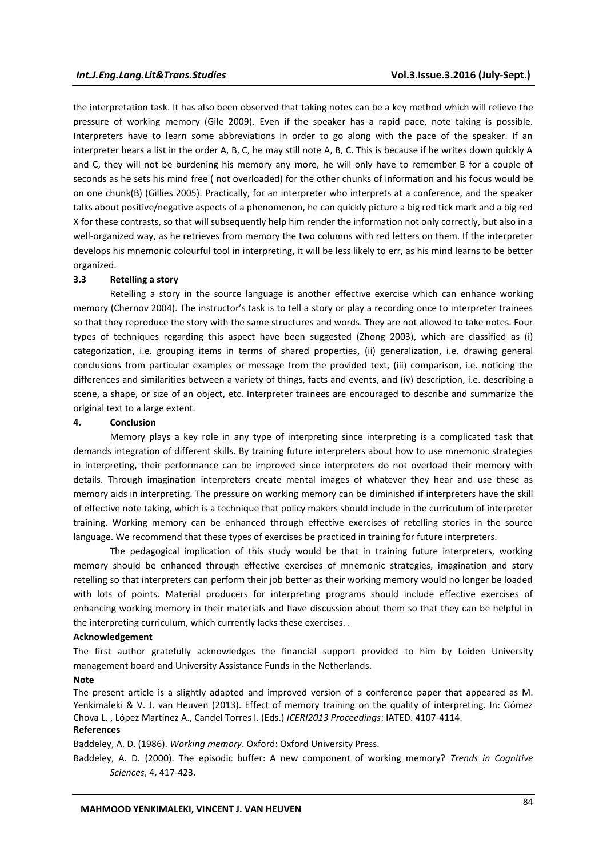the interpretation task. It has also been observed that taking notes can be a key method which will relieve the pressure of working memory (Gile 2009). Even if the speaker has a rapid pace, note taking is possible. Interpreters have to learn some abbreviations in order to go along with the pace of the speaker. If an interpreter hears a list in the order A, B, C, he may still note A, B, C. This is because if he writes down quickly A and C, they will not be burdening his memory any more, he will only have to remember B for a couple of seconds as he sets his mind free ( not overloaded) for the other chunks of information and his focus would be on one chunk(B) (Gillies 2005). Practically, for an interpreter who interprets at a conference, and the speaker talks about positive/negative aspects of a phenomenon, he can quickly picture a big red tick mark and a big red X for these contrasts, so that will subsequently help him render the information not only correctly, but also in a well-organized way, as he retrieves from memory the two columns with red letters on them. If the interpreter develops his mnemonic colourful tool in interpreting, it will be less likely to err, as his mind learns to be better organized.

#### **3.3 Retelling a story**

Retelling a story in the source language is another effective exercise which can enhance working memory (Chernov 2004). The instructor's task is to tell a story or play a recording once to interpreter trainees so that they reproduce the story with the same structures and words. They are not allowed to take notes. Four types of techniques regarding this aspect have been suggested (Zhong 2003), which are classified as (i) categorization, i.e. grouping items in terms of shared properties, (ii) generalization, i.e. drawing general conclusions from particular examples or message from the provided text, (iii) comparison, i.e. noticing the differences and similarities between a variety of things, facts and events, and (iv) description, i.e. describing a scene, a shape, or size of an object, etc. Interpreter trainees are encouraged to describe and summarize the original text to a large extent.

#### **4. Conclusion**

Memory plays a key role in any type of interpreting since interpreting is a complicated task that demands integration of different skills. By training future interpreters about how to use mnemonic strategies in interpreting, their performance can be improved since interpreters do not overload their memory with details. Through imagination interpreters create mental images of whatever they hear and use these as memory aids in interpreting. The pressure on working memory can be diminished if interpreters have the skill of effective note taking, which is a technique that policy makers should include in the curriculum of interpreter training. Working memory can be enhanced through effective exercises of retelling stories in the source language. We recommend that these types of exercises be practiced in training for future interpreters.

The pedagogical implication of this study would be that in training future interpreters, working memory should be enhanced through effective exercises of mnemonic strategies, imagination and story retelling so that interpreters can perform their job better as their working memory would no longer be loaded with lots of points. Material producers for interpreting programs should include effective exercises of enhancing working memory in their materials and have discussion about them so that they can be helpful in the interpreting curriculum, which currently lacks these exercises. .

#### **Acknowledgement**

The first author gratefully acknowledges the financial support provided to him by Leiden University management board and University Assistance Funds in the Netherlands.

#### **Note**

The present article is a slightly adapted and improved version of a conference paper that appeared as M. Yenkimaleki & V. J. van Heuven (2013). Effect of memory training on the quality of interpreting. In: Gómez Chova L. , López Martínez A., Candel Torres I. (Eds.) *ICERI2013 Proceedings*: IATED. 4107-4114. **References** 

#### Baddeley, A. D. (1986). *Working memory*. Oxford: Oxford University Press.

Baddeley, A. D. (2000). The episodic buffer: A new component of working memory? *Trends in Cognitive Sciences*, 4, 417-423.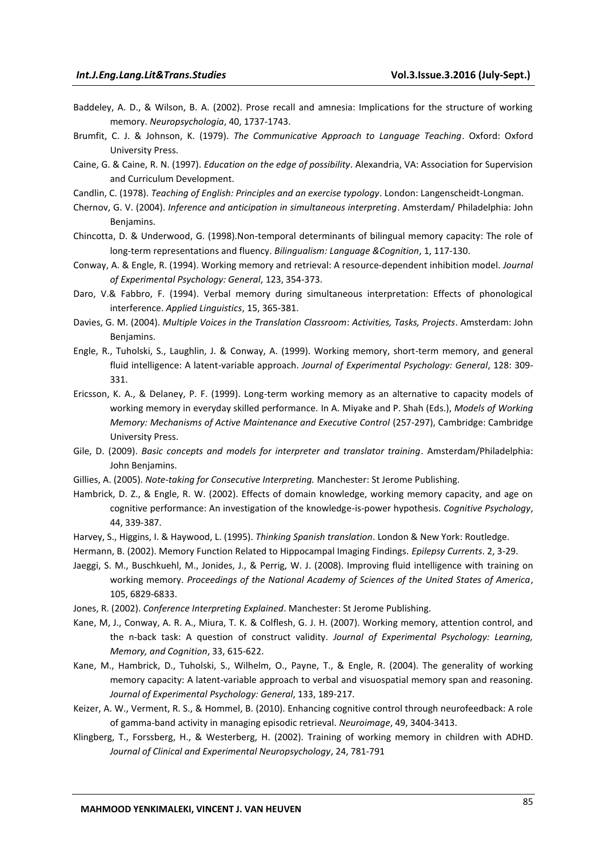- Baddeley, A. D., & Wilson, B. A. (2002). Prose recall and amnesia: Implications for the structure of working memory. *Neuropsychologia*, 40, 1737-1743.
- Brumfit, C. J. & Johnson, K. (1979). *The Communicative Approach to Language Teaching*. Oxford: Oxford University Press.
- Caine, G. & Caine, R. N. (1997). *Education on the edge of possibility*. Alexandria, VA: Association for Supervision and Curriculum Development.
- Candlin, C. (1978). *Teaching of English: Principles and an exercise typology*. London: Langenscheidt-Longman.
- Chernov, G. V. (2004). *Inference and anticipation in simultaneous interpreting*. Amsterdam/ Philadelphia: John Benjamins.
- Chincotta, D. & Underwood, G. (1998).Non-temporal determinants of bilingual memory capacity: The role of long-term representations and fluency. *Bilingualism: Language &Cognition*, 1, 117-130.
- Conway, A. & Engle, R. (1994). Working memory and retrieval: A resource-dependent inhibition model. *Journal of Experimental Psychology: General*, 123, 354-373.
- Daro, V.& Fabbro, F. (1994). Verbal memory during simultaneous interpretation: Effects of phonological interference. *Applied Linguistics*, 15, 365-381.
- Davies, G. M. (2004). *Multiple Voices in the Translation Classroom*: *Activities, Tasks, Projects*. Amsterdam: John Benjamins.
- Engle, R., Tuholski, S., Laughlin, J. & Conway, A. (1999). Working memory, short-term memory, and general fluid intelligence: A latent-variable approach. *Journal of Experimental Psychology: General*, 128: 309- 331.
- Ericsson, K. A., & Delaney, P. F. (1999). Long-term working memory as an alternative to capacity models of working memory in everyday skilled performance. In A. Miyake and P. Shah (Eds.), *Models of Working Memory: Mechanisms of Active Maintenance and Executive Control* (257-297), Cambridge: Cambridge University Press.
- Gile, D. (2009). *Basic concepts and models for interpreter and translator training*. Amsterdam/Philadelphia: John Benjamins.
- Gillies, A. (2005). *Note-taking for Consecutive Interpreting.* Manchester: St Jerome Publishing.
- Hambrick, D. Z., & Engle, R. W. (2002). Effects of domain knowledge, working memory capacity, and age on cognitive performance: An investigation of the knowledge-is-power hypothesis. *Cognitive Psychology*, 44, 339-387.
- Harvey, S., Higgins, I. & Haywood, L. (1995). *Thinking Spanish translation*. London & New York: Routledge.
- Hermann, B. (2002). Memory Function Related to Hippocampal Imaging Findings. *Epilepsy Currents*. 2, 3-29.
- Jaeggi, S. M., Buschkuehl, M., Jonides, J., & Perrig, W. J. (2008). Improving fluid intelligence with training on working memory. *Proceedings of the National Academy of Sciences of the United States of America*, 105, 6829-6833.
- Jones, R. (2002). *Conference Interpreting Explained*. Manchester: St Jerome Publishing.
- Kane, M, J., Conway, A. R. A., Miura, T. K. & Colflesh, G. J. H. (2007). Working memory, attention control, and the n-back task: A question of construct validity. *Journal of Experimental Psychology: Learning, Memory, and Cognition*, 33, 615-622.
- Kane, M., Hambrick, D., Tuholski, S., Wilhelm, O., Payne, T., & Engle, R. (2004). The generality of working memory capacity: A latent-variable approach to verbal and visuospatial memory span and reasoning. *Journal of Experimental Psychology: General*, 133, 189-217.
- Keizer, A. W., Verment, R. S., & Hommel, B. (2010). Enhancing cognitive control through neurofeedback: A role of gamma-band activity in managing episodic retrieval. *Neuroimage*, 49, 3404-3413.
- Klingberg, T., Forssberg, H., & Westerberg, H. (2002). Training of working memory in children with ADHD. *Journal of Clinical and Experimental Neuropsychology*, 24, 781-791